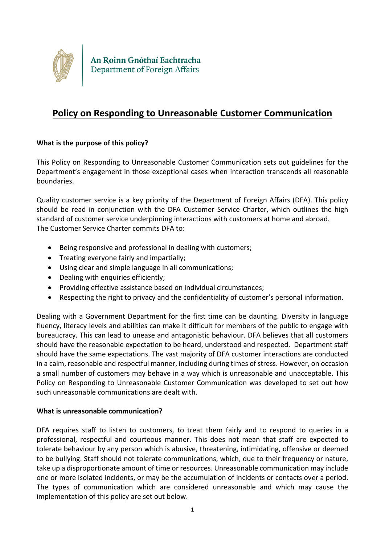

# **Policy on Responding to Unreasonable Customer Communication**

# **What is the purpose of this policy?**

This Policy on Responding to Unreasonable Customer Communication sets out guidelines for the Department's engagement in those exceptional cases when interaction transcends all reasonable boundaries.

Quality customer service is a key priority of the Department of Foreign Affairs (DFA). This policy should be read in conjunction with the DFA Customer Service Charter, which outlines the high standard of customer service underpinning interactions with customers at home and abroad. The Customer Service Charter commits DFA to:

- Being responsive and professional in dealing with customers;
- Treating everyone fairly and impartially;
- Using clear and simple language in all communications;
- Dealing with enquiries efficiently;
- Providing effective assistance based on individual circumstances:
- Respecting the right to privacy and the confidentiality of customer's personal information.

Dealing with a Government Department for the first time can be daunting. Diversity in language fluency, literacy levels and abilities can make it difficult for members of the public to engage with bureaucracy. This can lead to unease and antagonistic behaviour. DFA believes that all customers should have the reasonable expectation to be heard, understood and respected. Department staff should have the same expectations. The vast majority of DFA customer interactions are conducted in a calm, reasonable and respectful manner, including during times of stress. However, on occasion a small number of customers may behave in a way which is unreasonable and unacceptable. This Policy on Responding to Unreasonable Customer Communication was developed to set out how such unreasonable communications are dealt with.

# **What is unreasonable communication?**

DFA requires staff to listen to customers, to treat them fairly and to respond to queries in a professional, respectful and courteous manner. This does not mean that staff are expected to tolerate behaviour by any person which is abusive, threatening, intimidating, offensive or deemed to be bullying. Staff should not tolerate communications, which, due to their frequency or nature, take up a disproportionate amount of time or resources. Unreasonable communication may include one or more isolated incidents, or may be the accumulation of incidents or contacts over a period. The types of communication which are considered unreasonable and which may cause the implementation of this policy are set out below.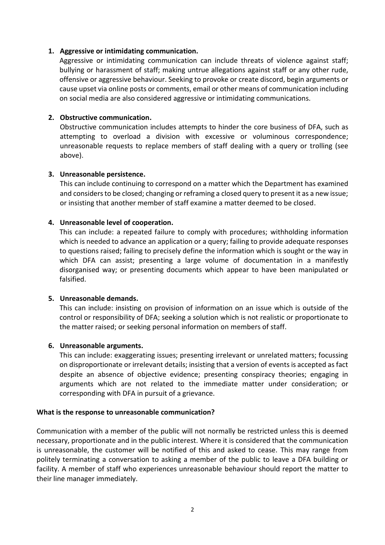## **1. Aggressive or intimidating communication.**

Aggressive or intimidating communication can include threats of violence against staff; bullying or harassment of staff; making untrue allegations against staff or any other rude, offensive or aggressive behaviour. Seeking to provoke or create discord, begin arguments or cause upset via online posts or comments, email or other means of communication including on social media are also considered aggressive or intimidating communications.

## **2. Obstructive communication.**

Obstructive communication includes attempts to hinder the core business of DFA, such as attempting to overload a division with excessive or voluminous correspondence; unreasonable requests to replace members of staff dealing with a query or trolling (see above).

### **3. Unreasonable persistence.**

This can include continuing to correspond on a matter which the Department has examined and considers to be closed; changing or reframing a closed query to present it as a new issue; or insisting that another member of staff examine a matter deemed to be closed.

## **4. Unreasonable level of cooperation.**

This can include: a repeated failure to comply with procedures; withholding information which is needed to advance an application or a query; failing to provide adequate responses to questions raised; failing to precisely define the information which is sought or the way in which DFA can assist; presenting a large volume of documentation in a manifestly disorganised way; or presenting documents which appear to have been manipulated or falsified.

### **5. Unreasonable demands.**

This can include: insisting on provision of information on an issue which is outside of the control or responsibility of DFA; seeking a solution which is not realistic or proportionate to the matter raised; or seeking personal information on members of staff.

### **6. Unreasonable arguments.**

This can include: exaggerating issues; presenting irrelevant or unrelated matters; focussing on disproportionate or irrelevant details; insisting that a version of events is accepted as fact despite an absence of objective evidence; presenting conspiracy theories; engaging in arguments which are not related to the immediate matter under consideration; or corresponding with DFA in pursuit of a grievance.

### **What is the response to unreasonable communication?**

Communication with a member of the public will not normally be restricted unless this is deemed necessary, proportionate and in the public interest. Where it is considered that the communication is unreasonable, the customer will be notified of this and asked to cease. This may range from politely terminating a conversation to asking a member of the public to leave a DFA building or facility. A member of staff who experiences unreasonable behaviour should report the matter to their line manager immediately.